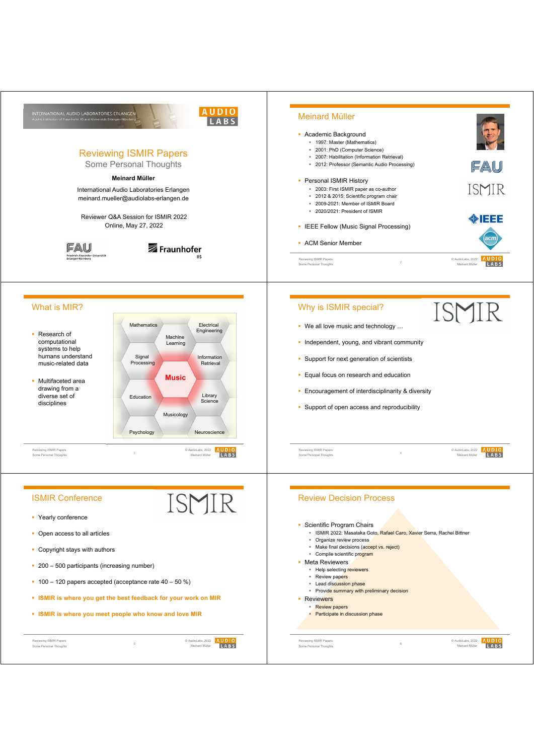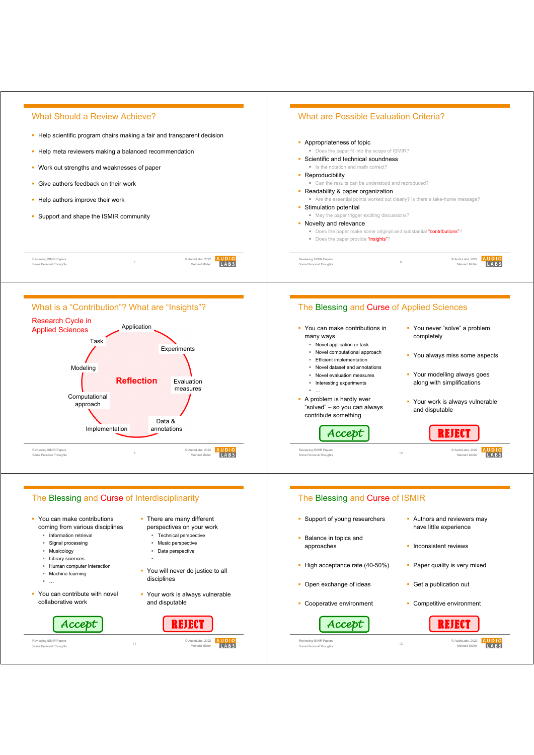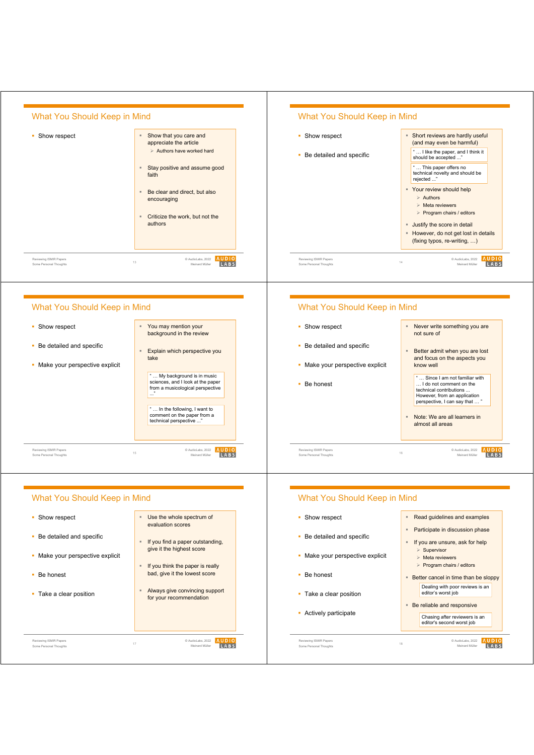